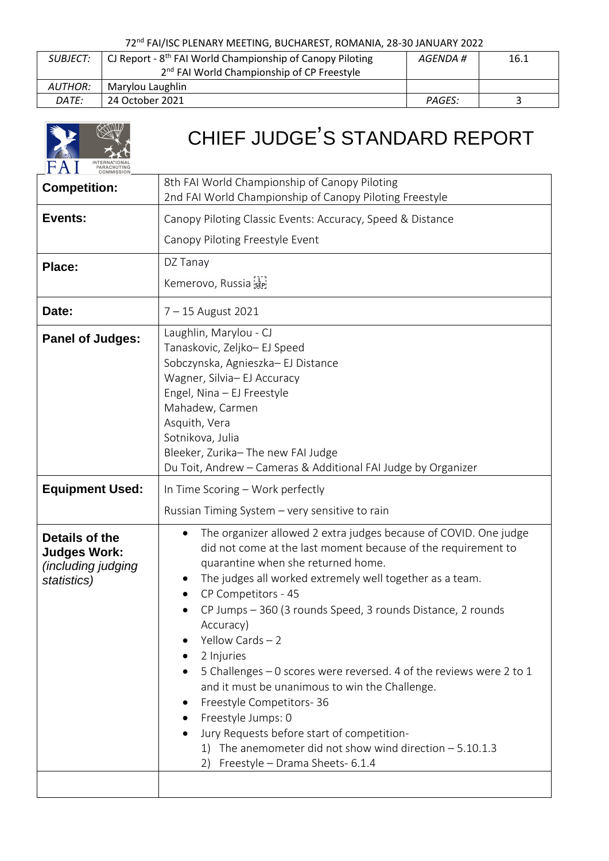## 72nd FAI/ISC PLENARY MEETING, BUCHAREST, ROMANIA, 28-30 JANUARY 2022

| <i>SUBJECT:</i> | CJ Report - 8 <sup>th</sup> FAI World Championship of Canopy Piloting<br>16.1<br>AGENDA # |        |  |
|-----------------|-------------------------------------------------------------------------------------------|--------|--|
|                 | 2 <sup>nd</sup> FAI World Championship of CP Freestyle                                    |        |  |
| AUTHOR:         | Marylou Laughlin                                                                          |        |  |
| DATE:           | 24 October 2021                                                                           | PAGES: |  |

|                                                                                   | CHIEF JUDGE'S STANDARD REPORT                                                                                                                                                                                                                                                                                                                                                                                                                                                                                                                                                                                                                                                                                                      |
|-----------------------------------------------------------------------------------|------------------------------------------------------------------------------------------------------------------------------------------------------------------------------------------------------------------------------------------------------------------------------------------------------------------------------------------------------------------------------------------------------------------------------------------------------------------------------------------------------------------------------------------------------------------------------------------------------------------------------------------------------------------------------------------------------------------------------------|
| <b>Competition:</b>                                                               | 8th FAI World Championship of Canopy Piloting<br>2nd FAI World Championship of Canopy Piloting Freestyle                                                                                                                                                                                                                                                                                                                                                                                                                                                                                                                                                                                                                           |
| Events:                                                                           | Canopy Piloting Classic Events: Accuracy, Speed & Distance                                                                                                                                                                                                                                                                                                                                                                                                                                                                                                                                                                                                                                                                         |
|                                                                                   | Canopy Piloting Freestyle Event                                                                                                                                                                                                                                                                                                                                                                                                                                                                                                                                                                                                                                                                                                    |
| Place:                                                                            | DZ Tanay                                                                                                                                                                                                                                                                                                                                                                                                                                                                                                                                                                                                                                                                                                                           |
|                                                                                   | Kemerovo, Russia                                                                                                                                                                                                                                                                                                                                                                                                                                                                                                                                                                                                                                                                                                                   |
| Date:                                                                             | 7 - 15 August 2021                                                                                                                                                                                                                                                                                                                                                                                                                                                                                                                                                                                                                                                                                                                 |
| <b>Panel of Judges:</b>                                                           | Laughlin, Marylou - CJ<br>Tanaskovic, Zeljko- EJ Speed<br>Sobczynska, Agnieszka- EJ Distance<br>Wagner, Silvia- EJ Accuracy<br>Engel, Nina - EJ Freestyle<br>Mahadew, Carmen<br>Asquith, Vera<br>Sotnikova, Julia<br>Bleeker, Zurika-The new FAI Judge<br>Du Toit, Andrew - Cameras & Additional FAI Judge by Organizer                                                                                                                                                                                                                                                                                                                                                                                                            |
| <b>Equipment Used:</b>                                                            | In Time Scoring – Work perfectly                                                                                                                                                                                                                                                                                                                                                                                                                                                                                                                                                                                                                                                                                                   |
| Details of the<br><b>Judges Work:</b><br><i>(including judging</i><br>statistics) | The organizer allowed 2 extra judges because of COVID. One judge<br>$\bullet$<br>did not come at the last moment because of the requirement to<br>quarantine when she returned home.<br>The judges all worked extremely well together as a team.<br>CP Competitors - 45<br>CP Jumps - 360 (3 rounds Speed, 3 rounds Distance, 2 rounds<br>Accuracy)<br>Yellow Cards $-2$<br>2 Injuries<br>$\bullet$<br>5 Challenges - 0 scores were reversed. 4 of the reviews were 2 to 1<br>and it must be unanimous to win the Challenge.<br>Freestyle Competitors-36<br>Freestyle Jumps: 0<br>Jury Requests before start of competition-<br>1) The anemometer did not show wind direction $-5.10.1.3$<br>Freestyle - Drama Sheets- 6.1.4<br>2) |
|                                                                                   | Russian Timing System - very sensitive to rain                                                                                                                                                                                                                                                                                                                                                                                                                                                                                                                                                                                                                                                                                     |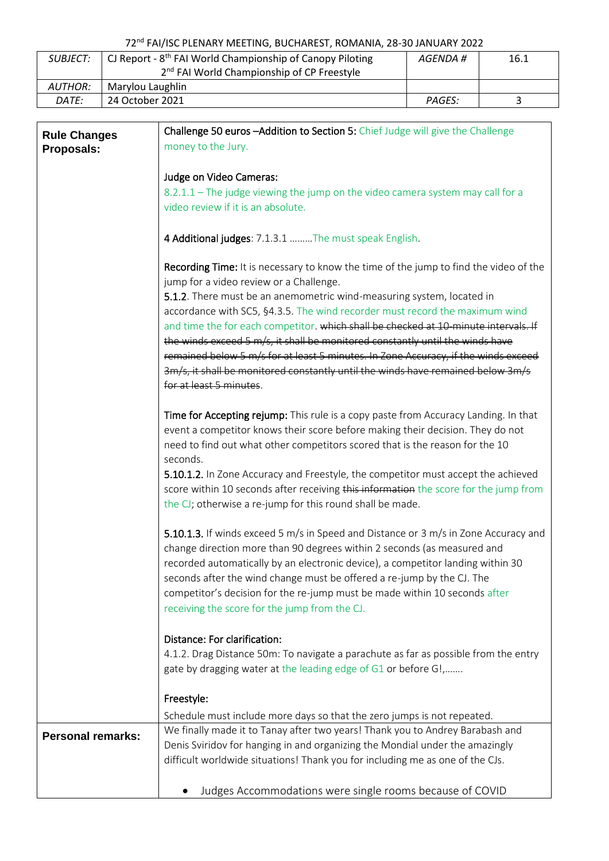## 72nd FAI/ISC PLENARY MEETING, BUCHAREST, ROMANIA, 28-30 JANUARY 2022

| <b>SUBJECT:</b> | CJ Report - $8th$ FAI World Championship of Canopy Piloting<br>2 <sup>nd</sup> FAI World Championship of CP Freestyle | AGENDA # | 16.1 |
|-----------------|-----------------------------------------------------------------------------------------------------------------------|----------|------|
| <i>AUTHOR:</i>  | Marylou Laughlin                                                                                                      |          |      |
| DATE:           | 24 October 2021                                                                                                       | PAGES:   |      |

| <b>Rule Changes</b>      | Challenge 50 euros - Addition to Section 5: Chief Judge will give the Challenge       |  |
|--------------------------|---------------------------------------------------------------------------------------|--|
| Proposals:               | money to the Jury.                                                                    |  |
|                          |                                                                                       |  |
|                          | Judge on Video Cameras:                                                               |  |
|                          | 8.2.1.1 - The judge viewing the jump on the video camera system may call for a        |  |
|                          | video review if it is an absolute.                                                    |  |
|                          |                                                                                       |  |
|                          | 4 Additional judges: 7.1.3.1 The must speak English.                                  |  |
|                          | Recording Time: It is necessary to know the time of the jump to find the video of the |  |
|                          | jump for a video review or a Challenge.                                               |  |
|                          | 5.1.2. There must be an anemometric wind-measuring system, located in                 |  |
|                          | accordance with SC5, §4.3.5. The wind recorder must record the maximum wind           |  |
|                          | and time the for each competitor. which shall be checked at 10-minute intervals. If   |  |
|                          | the winds exceed 5 m/s, it shall be monitored constantly until the winds have         |  |
|                          | remained below 5 m/s for at least 5 minutes. In Zone Accuracy, if the winds exceed    |  |
|                          | 3m/s, it shall be monitored constantly until the winds have remained below 3m/s       |  |
|                          | for at least 5 minutes.                                                               |  |
|                          | Time for Accepting rejump: This rule is a copy paste from Accuracy Landing. In that   |  |
|                          | event a competitor knows their score before making their decision. They do not        |  |
|                          | need to find out what other competitors scored that is the reason for the 10          |  |
|                          | seconds.                                                                              |  |
|                          | 5.10.1.2. In Zone Accuracy and Freestyle, the competitor must accept the achieved     |  |
|                          | score within 10 seconds after receiving this information the score for the jump from  |  |
|                          | the CJ; otherwise a re-jump for this round shall be made.                             |  |
|                          | 5.10.1.3. If winds exceed 5 m/s in Speed and Distance or 3 m/s in Zone Accuracy and   |  |
|                          | change direction more than 90 degrees within 2 seconds (as measured and               |  |
|                          | recorded automatically by an electronic device), a competitor landing within 30       |  |
|                          | seconds after the wind change must be offered a re-jump by the CJ. The                |  |
|                          | competitor's decision for the re-jump must be made within 10 seconds after            |  |
|                          | receiving the score for the jump from the CJ.                                         |  |
|                          |                                                                                       |  |
|                          | Distance: For clarification:                                                          |  |
|                          | 4.1.2. Drag Distance 50m: To navigate a parachute as far as possible from the entry   |  |
|                          | gate by dragging water at the leading edge of G1 or before G!,                        |  |
|                          | Freestyle:                                                                            |  |
|                          | Schedule must include more days so that the zero jumps is not repeated.               |  |
| <b>Personal remarks:</b> | We finally made it to Tanay after two years! Thank you to Andrey Barabash and         |  |
|                          | Denis Sviridov for hanging in and organizing the Mondial under the amazingly          |  |
|                          | difficult worldwide situations! Thank you for including me as one of the CJs.         |  |
|                          |                                                                                       |  |
|                          | Judges Accommodations were single rooms because of COVID                              |  |